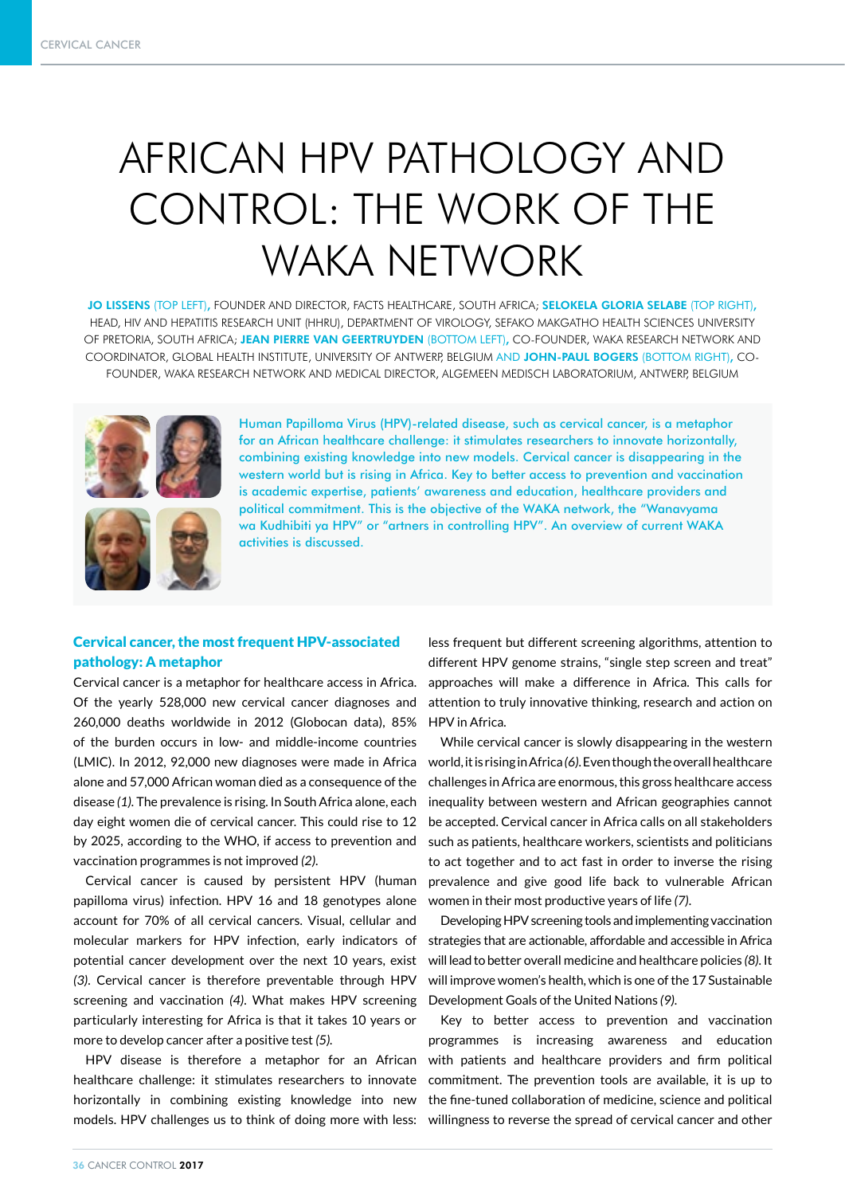# AFRICAN HPV PATHOLOGY AND CONTROL: THE WORK OF THE WAKA NETWORK

JO LISSENS (TOP LEFT), FOUNDER AND DIRECTOR, FACTS HEALTHCARE, SOUTH AFRICA; SELOKELA GLORIA SELABE (TOP RIGHT), HEAD, HIV AND HEPATITIS RESEARCH UNIT (HHRU), DEPARTMENT OF VIROLOGY, SEFAKO MAKGATHO HEALTH SCIENCES UNIVERSITY OF PRETORIA, SOUTH AFRICA; JEAN PIERRE VAN GEERTRUYDEN (BOTTOM LEFT), CO-FOUNDER, WAKA RESEARCH NETWORK AND COORDINATOR, GLOBAL HEALTH INSTITUTE, UNIVERSITY OF ANTWERP, BELGIUM AND JOHN-PAUL BOGERS (BOTTOM RIGHT), CO-FOUNDER, WAKA RESEARCH NETWORK AND MEDICAL DIRECTOR, ALGEMEEN MEDISCH LABORATORIUM, ANTWERP, BELGIUM





Human Papilloma Virus (HPV)-related disease, such as cervical cancer, is a metaphor for an African healthcare challenge: it stimulates researchers to innovate horizontally, combining existing knowledge into new models. Cervical cancer is disappearing in the western world but is rising in Africa. Key to better access to prevention and vaccination is academic expertise, patients' awareness and education, healthcare providers and political commitment. This is the objective of the WAKA network, the "Wanavyama wa Kudhibiti ya HPV" or "artners in controlling HPV". An overview of current WAKA activities is discussed.

# Cervical cancer, the most frequent HPV-associated pathology: A metaphor

Cervical cancer is a metaphor for healthcare access in Africa. Of the yearly 528,000 new cervical cancer diagnoses and 260,000 deaths worldwide in 2012 (Globocan data), 85% of the burden occurs in low- and middle-income countries (LMIC). In 2012, 92,000 new diagnoses were made in Africa alone and 57,000 African woman died as a consequence of the disease *(1).* The prevalence is rising. In South Africa alone, each day eight women die of cervical cancer. This could rise to 12 by 2025, according to the WHO, if access to prevention and vaccination programmes is not improved *(2)*.

Cervical cancer is caused by persistent HPV (human papilloma virus) infection. HPV 16 and 18 genotypes alone account for 70% of all cervical cancers. Visual, cellular and molecular markers for HPV infection, early indicators of potential cancer development over the next 10 years, exist *(3)*. Cervical cancer is therefore preventable through HPV screening and vaccination *(4)*. What makes HPV screening particularly interesting for Africa is that it takes 10 years or more to develop cancer after a positive test *(5).*

HPV disease is therefore a metaphor for an African healthcare challenge: it stimulates researchers to innovate horizontally in combining existing knowledge into new

less frequent but different screening algorithms, attention to different HPV genome strains, "single step screen and treat" approaches will make a difference in Africa. This calls for attention to truly innovative thinking, research and action on HPV in Africa.

While cervical cancer is slowly disappearing in the western world, it is rising in Africa *(6)*. Even though the overall healthcare challenges in Africa are enormous, this gross healthcare access inequality between western and African geographies cannot be accepted. Cervical cancer in Africa calls on all stakeholders such as patients, healthcare workers, scientists and politicians to act together and to act fast in order to inverse the rising prevalence and give good life back to vulnerable African women in their most productive years of life *(7)*.

Developing HPV screening tools and implementing vaccination strategies that are actionable, affordable and accessible in Africa will lead to better overall medicine and healthcare policies *(8)*. It will improve women's health, which is one of the 17 Sustainable Development Goals of the United Nations *(9)*.

models. HPV challenges us to think of doing more with less: willingness to reverse the spread of cervical cancer and other Key to better access to prevention and vaccination programmes is increasing awareness and education with patients and healthcare providers and firm political commitment. The prevention tools are available, it is up to the fine-tuned collaboration of medicine, science and political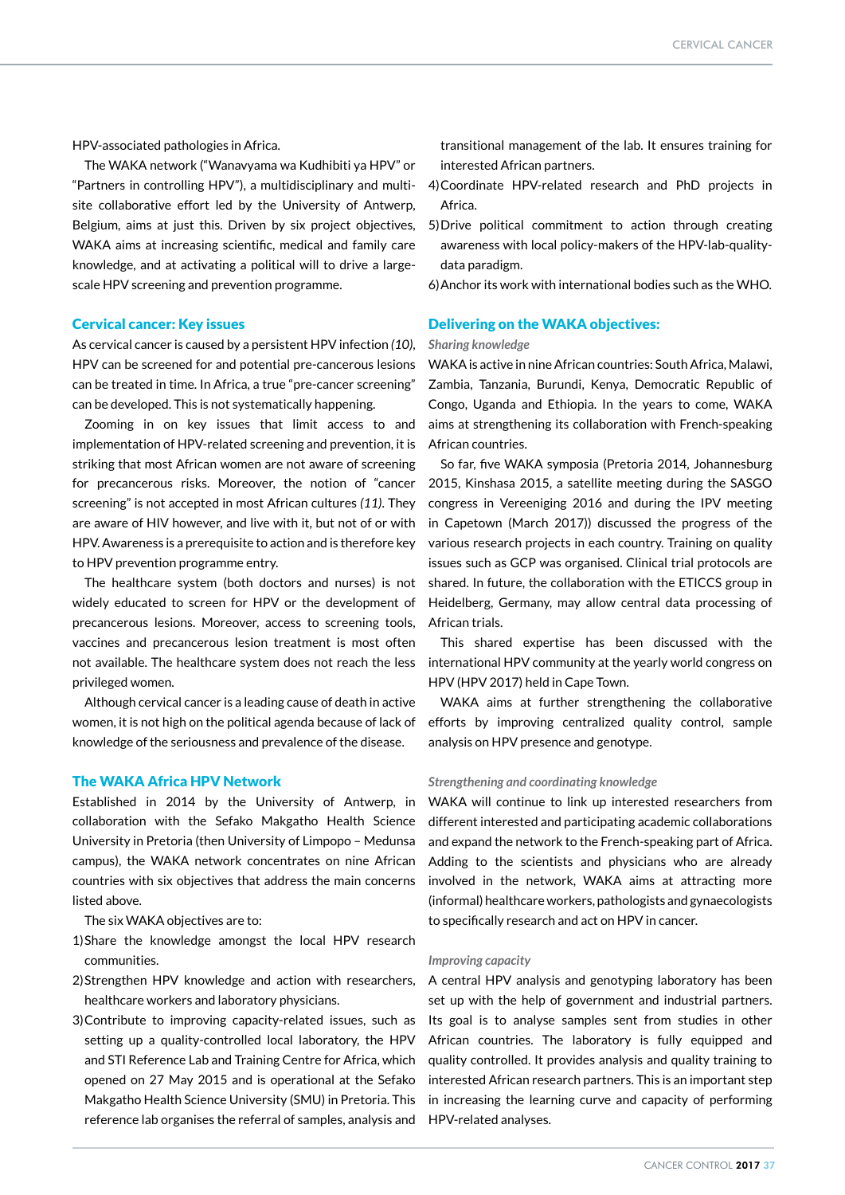HPV-associated pathologies in Africa.

The WAKA network ("Wanavyama wa Kudhibiti ya HPV" or "Partners in controlling HPV"), a multidisciplinary and multisite collaborative effort led by the University of Antwerp, Belgium, aims at just this. Driven by six project objectives, WAKA aims at increasing scientific, medical and family care knowledge, and at activating a political will to drive a largescale HPV screening and prevention programme.

#### Cervical cancer: Key issues

As cervical cancer is caused by a persistent HPV infection *(10)*, HPV can be screened for and potential pre-cancerous lesions can be treated in time. In Africa, a true "pre-cancer screening" can be developed. This is not systematically happening.

Zooming in on key issues that limit access to and implementation of HPV-related screening and prevention, it is striking that most African women are not aware of screening for precancerous risks. Moreover, the notion of "cancer screening" is not accepted in most African cultures *(11)*. They are aware of HIV however, and live with it, but not of or with HPV. Awareness is a prerequisite to action and is therefore key to HPV prevention programme entry.

The healthcare system (both doctors and nurses) is not widely educated to screen for HPV or the development of precancerous lesions. Moreover, access to screening tools, vaccines and precancerous lesion treatment is most often not available. The healthcare system does not reach the less privileged women.

Although cervical cancer is a leading cause of death in active women, it is not high on the political agenda because of lack of knowledge of the seriousness and prevalence of the disease.

# The WAKA Africa HPV Network

Established in 2014 by the University of Antwerp, in collaboration with the Sefako Makgatho Health Science University in Pretoria (then University of Limpopo – Medunsa campus), the WAKA network concentrates on nine African countries with six objectives that address the main concerns listed above.

The six WAKA objectives are to:

- 1)Share the knowledge amongst the local HPV research communities.
- 2)Strengthen HPV knowledge and action with researchers, healthcare workers and laboratory physicians.
- 3)Contribute to improving capacity-related issues, such as setting up a quality-controlled local laboratory, the HPV and STI Reference Lab and Training Centre for Africa, which opened on 27 May 2015 and is operational at the Sefako Makgatho Health Science University (SMU) in Pretoria. This reference lab organises the referral of samples, analysis and

transitional management of the lab. It ensures training for interested African partners.

- 4)Coordinate HPV-related research and PhD projects in Africa.
- 5)Drive political commitment to action through creating awareness with local policy-makers of the HPV-lab-qualitydata paradigm.
- 6)Anchor its work with international bodies such as the WHO.

# Delivering on the WAKA objectives:

#### *Sharing knowledge*

WAKA is active in nine African countries: South Africa, Malawi, Zambia, Tanzania, Burundi, Kenya, Democratic Republic of Congo, Uganda and Ethiopia. In the years to come, WAKA aims at strengthening its collaboration with French-speaking African countries.

So far, five WAKA symposia (Pretoria 2014, Johannesburg 2015, Kinshasa 2015, a satellite meeting during the SASGO congress in Vereeniging 2016 and during the IPV meeting in Capetown (March 2017)) discussed the progress of the various research projects in each country. Training on quality issues such as GCP was organised. Clinical trial protocols are shared. In future, the collaboration with the ETICCS group in Heidelberg, Germany, may allow central data processing of African trials.

This shared expertise has been discussed with the international HPV community at the yearly world congress on HPV (HPV 2017) held in Cape Town.

WAKA aims at further strengthening the collaborative efforts by improving centralized quality control, sample analysis on HPV presence and genotype.

#### *Strengthening and coordinating knowledge*

WAKA will continue to link up interested researchers from different interested and participating academic collaborations and expand the network to the French-speaking part of Africa. Adding to the scientists and physicians who are already involved in the network, WAKA aims at attracting more (informal) healthcare workers, pathologists and gynaecologists to specifically research and act on HPV in cancer.

#### *Improving capacity*

A central HPV analysis and genotyping laboratory has been set up with the help of government and industrial partners. Its goal is to analyse samples sent from studies in other African countries. The laboratory is fully equipped and quality controlled. It provides analysis and quality training to interested African research partners. This is an important step in increasing the learning curve and capacity of performing HPV-related analyses.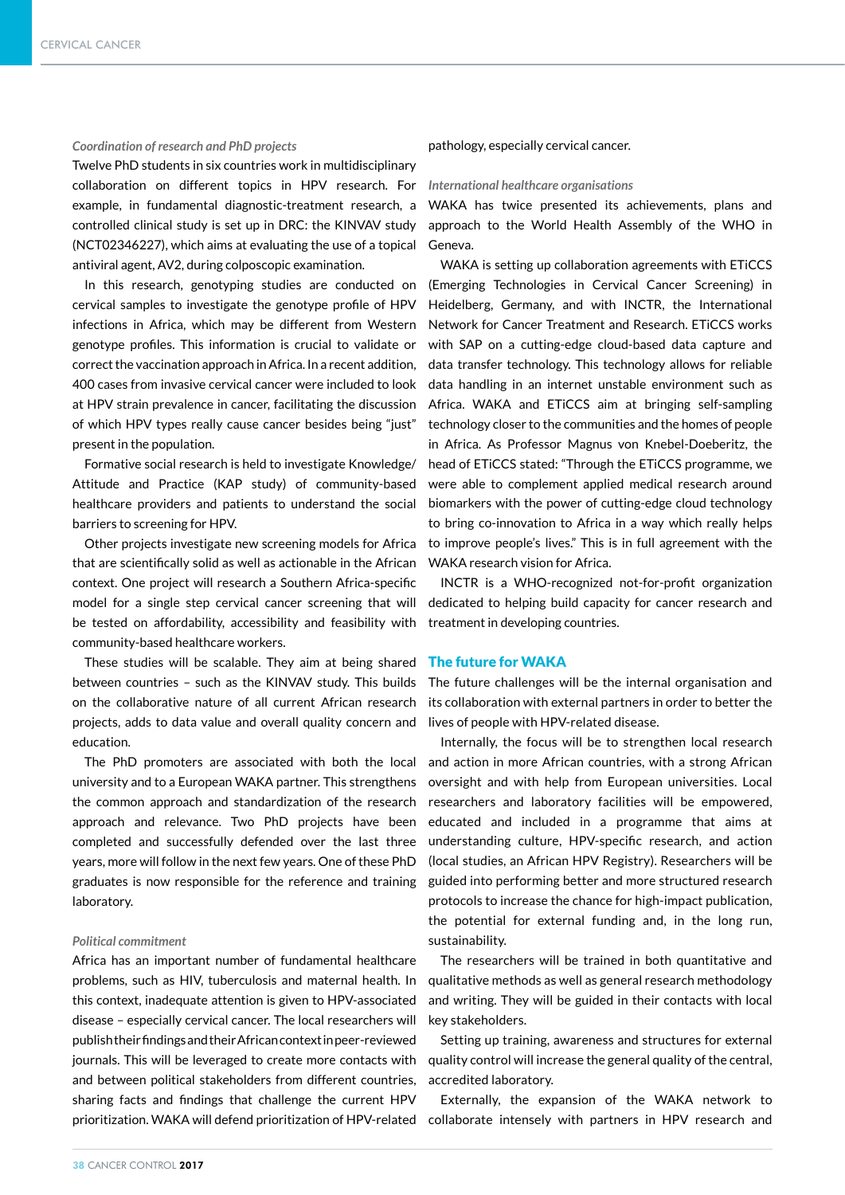#### *Coordination of research and PhD projects*

Twelve PhD students in six countries work in multidisciplinary collaboration on different topics in HPV research. For example, in fundamental diagnostic-treatment research, a controlled clinical study is set up in DRC: the KINVAV study (NCT02346227), which aims at evaluating the use of a topical antiviral agent, AV2, during colposcopic examination.

In this research, genotyping studies are conducted on cervical samples to investigate the genotype profile of HPV infections in Africa, which may be different from Western genotype profiles. This information is crucial to validate or correct the vaccination approach in Africa. In a recent addition, 400 cases from invasive cervical cancer were included to look at HPV strain prevalence in cancer, facilitating the discussion of which HPV types really cause cancer besides being "just" present in the population.

Formative social research is held to investigate Knowledge/ Attitude and Practice (KAP study) of community-based healthcare providers and patients to understand the social barriers to screening for HPV.

Other projects investigate new screening models for Africa that are scientifically solid as well as actionable in the African context. One project will research a Southern Africa-specific model for a single step cervical cancer screening that will be tested on affordability, accessibility and feasibility with community-based healthcare workers.

These studies will be scalable. They aim at being shared between countries – such as the KINVAV study. This builds on the collaborative nature of all current African research projects, adds to data value and overall quality concern and education.

The PhD promoters are associated with both the local university and to a European WAKA partner. This strengthens the common approach and standardization of the research approach and relevance. Two PhD projects have been completed and successfully defended over the last three years, more will follow in the next few years. One of these PhD graduates is now responsible for the reference and training laboratory.

#### *Political commitment*

Africa has an important number of fundamental healthcare problems, such as HIV, tuberculosis and maternal health. In this context, inadequate attention is given to HPV-associated disease – especially cervical cancer. The local researchers will publish their findings and their African context in peer-reviewed journals. This will be leveraged to create more contacts with and between political stakeholders from different countries, sharing facts and findings that challenge the current HPV

#### pathology, especially cervical cancer.

#### *International healthcare organisations*

WAKA has twice presented its achievements, plans and approach to the World Health Assembly of the WHO in Geneva.

WAKA is setting up collaboration agreements with ETiCCS (Emerging Technologies in Cervical Cancer Screening) in Heidelberg, Germany, and with INCTR, the International Network for Cancer Treatment and Research. ETiCCS works with SAP on a cutting-edge cloud-based data capture and data transfer technology. This technology allows for reliable data handling in an internet unstable environment such as Africa. WAKA and ETiCCS aim at bringing self-sampling technology closer to the communities and the homes of people in Africa. As Professor Magnus von Knebel-Doeberitz, the head of ETiCCS stated: "Through the ETiCCS programme, we were able to complement applied medical research around biomarkers with the power of cutting-edge cloud technology to bring co-innovation to Africa in a way which really helps to improve people's lives." This is in full agreement with the WAKA research vision for Africa.

INCTR is a WHO-recognized not-for-profit organization dedicated to helping build capacity for cancer research and treatment in developing countries.

# The future for WAKA

The future challenges will be the internal organisation and its collaboration with external partners in order to better the lives of people with HPV-related disease.

Internally, the focus will be to strengthen local research and action in more African countries, with a strong African oversight and with help from European universities. Local researchers and laboratory facilities will be empowered, educated and included in a programme that aims at understanding culture, HPV-specific research, and action (local studies, an African HPV Registry). Researchers will be guided into performing better and more structured research protocols to increase the chance for high-impact publication, the potential for external funding and, in the long run, sustainability.

The researchers will be trained in both quantitative and qualitative methods as well as general research methodology and writing. They will be guided in their contacts with local key stakeholders.

Setting up training, awareness and structures for external quality control will increase the general quality of the central, accredited laboratory.

Externally, the expansion of the WAKA network to prioritization. WAKA will defend prioritization of HPV-related collaborate intensely with partners in HPV research and